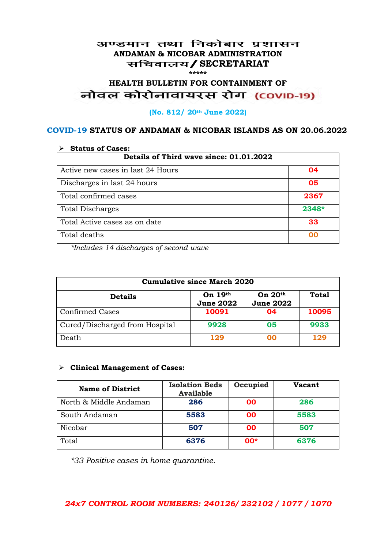#### अण्डमान तथा निकोबार प्रशासन **ANDAMAN & NICOBAR ADMINISTRATION /SECRETARIAT \*\*\*\*\***

# **HEALTH BULLETIN FOR CONTAINMENT OF**  नोवल कोरोनावायरस रोग (COVID-19)

#### **(No. 812/ 20th June 2022)**

#### **COVID-19 STATUS OF ANDAMAN & NICOBAR ISLANDS AS ON 20.06.2022**

| <b>Status of Cases:</b>                 |       |  |
|-----------------------------------------|-------|--|
| Details of Third wave since: 01.01.2022 |       |  |
| Active new cases in last 24 Hours       | 04    |  |
| Discharges in last 24 hours             | 05    |  |
| Total confirmed cases                   | 2367  |  |
| <b>Total Discharges</b>                 | 2348* |  |
| Total Active cases as on date           | 33    |  |
| Total deaths                            | oo    |  |

*\*Includes 14 discharges of second wave*

| <b>Cumulative since March 2020</b> |                               |                               |              |
|------------------------------------|-------------------------------|-------------------------------|--------------|
| <b>Details</b>                     | On $19th$<br><b>June 2022</b> | On $20th$<br><b>June 2022</b> | <b>Total</b> |
| <b>Confirmed Cases</b>             | 10091                         | 04                            | 10095        |
| Cured/Discharged from Hospital     | 9928                          | 05                            | 9933         |
| Death                              | 129                           | ററ                            | 129          |

#### **Clinical Management of Cases:**

| <b>Name of District</b> | <b>Isolation Beds</b><br><b>Available</b> | Occupied  | Vacant |
|-------------------------|-------------------------------------------|-----------|--------|
| North & Middle Andaman  | 286                                       | <b>OO</b> | 286    |
| South Andaman           | 5583                                      | <b>OO</b> | 5583   |
| Nicobar                 | 507                                       | <b>OO</b> | 507    |
| Total                   | 6376                                      | $00*$     | 6376   |

*\*33 Positive cases in home quarantine.*

#### *24x7 CONTROL ROOM NUMBERS: 240126/ 232102 / 1077 / 1070*